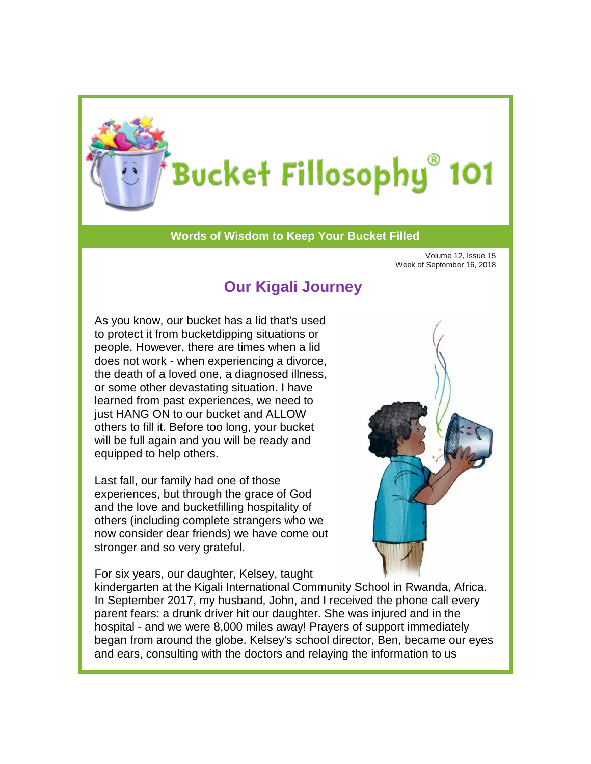

## Bucket Fillosophy® 101

## **Words of Wisdom to Keep Your Bucket Filled**

Volume 12, Issue 15 Week of September 16, 2018

## **Our Kigali Journey**

As you know, our bucket has a lid that's used to protect it from bucketdipping situations or people. However, there are times when a lid does not work - when experiencing a divorce, the death of a loved one, a diagnosed illness, or some other devastating situation. I have learned from past experiences, we need to just HANG ON to our bucket and ALLOW others to fill it. Before too long, your bucket will be full again and you will be ready and equipped to help others.

Last fall, our family had one of those experiences, but through the grace of God and the love and bucketfilling hospitality of others (including complete strangers who we now consider dear friends) we have come out stronger and so very grateful.

For six years, our daughter, Kelsey, taught



kindergarten at the Kigali International Community School in Rwanda, Africa. In September 2017, my husband, John, and I received the phone call every parent fears: a drunk driver hit our daughter. She was injured and in the hospital - and we were 8,000 miles away! Prayers of support immediately began from around the globe. Kelsey's school director, Ben, became our eyes and ears, consulting with the doctors and relaying the information to us